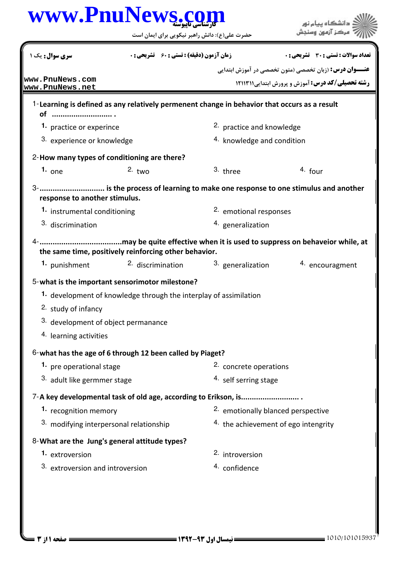## كارشناسي ناپيوسته **[www.PnuNews.com](http://www.PnuNews.com)**

حضرت علي(ع): دانش راهبر نيكويي براي ايمان است

| سری سوال: یک ۱                                                                                                   |                                         | زمان آزمون (دقيقه) : تستى : 60 ٪ تشريحي : 0 |                                      | <b>تعداد سوالات : تستي : 30 ٪ تشريحي : 0</b>                  |  |  |  |
|------------------------------------------------------------------------------------------------------------------|-----------------------------------------|---------------------------------------------|--------------------------------------|---------------------------------------------------------------|--|--|--|
| www.PnuNews.com                                                                                                  |                                         |                                             |                                      | <b>عنـــوان درس:</b> (زبان تخصصی (متون تخصصی در آموزش ابتدایی |  |  |  |
| www.PnuNews.net                                                                                                  |                                         |                                             |                                      | <b>رشته تحصیلی/کد درس:</b> آموزش و پرورش ابتدایی ۱۲۱۱۳۱۱      |  |  |  |
| 1-Learning is defined as any relatively permenent change in behavior that occurs as a result                     |                                         |                                             |                                      |                                                               |  |  |  |
| of                                                                                                               |                                         |                                             |                                      |                                                               |  |  |  |
|                                                                                                                  | 1. practice or experince                |                                             |                                      | <sup>2</sup> practice and knowledge                           |  |  |  |
| 3. experience or knowledge                                                                                       |                                         |                                             | 4. knowledge and condition           |                                                               |  |  |  |
| 2-How many types of conditioning are there?                                                                      |                                         |                                             |                                      |                                                               |  |  |  |
| $1.$ one                                                                                                         | $2.$ two                                |                                             | 3. three                             | <sup>4</sup> four                                             |  |  |  |
| 3-  is the process of learning to make one response to one stimulus and another<br>response to another stimulus. |                                         |                                             |                                      |                                                               |  |  |  |
| 1. instrumental conditioning                                                                                     |                                         |                                             | 2. emotional responses               |                                                               |  |  |  |
| 3. discrimination                                                                                                |                                         |                                             | 4. generalization                    |                                                               |  |  |  |
| the same time, positively reinforcing other behavior.                                                            |                                         |                                             |                                      |                                                               |  |  |  |
| 1. punishment                                                                                                    |                                         | 2. discrimination                           | 3. generalization                    | 4. encouragment                                               |  |  |  |
| 5-what is the important sensorimotor milestone?                                                                  |                                         |                                             |                                      |                                                               |  |  |  |
| 1. development of knowledge through the interplay of assimilation                                                |                                         |                                             |                                      |                                                               |  |  |  |
| 2. study of infancy                                                                                              |                                         |                                             |                                      |                                                               |  |  |  |
|                                                                                                                  | 3. development of object permanance     |                                             |                                      |                                                               |  |  |  |
| 4. learning activities                                                                                           |                                         |                                             |                                      |                                                               |  |  |  |
| 6-what has the age of 6 through 12 been called by Piaget?                                                        |                                         |                                             |                                      |                                                               |  |  |  |
| 1. pre operational stage                                                                                         |                                         |                                             | 2. concrete operations               |                                                               |  |  |  |
| 3. adult like germmer stage                                                                                      |                                         |                                             | 4. self serring stage                |                                                               |  |  |  |
|                                                                                                                  |                                         |                                             |                                      |                                                               |  |  |  |
| 1. recognition memory                                                                                            |                                         |                                             | 2. emotionally blanced perspective   |                                                               |  |  |  |
|                                                                                                                  | 3. modifying interpersonal relationship |                                             | 4. the achievement of ego intengrity |                                                               |  |  |  |
| 8-What are the Jung's general attitude types?                                                                    |                                         |                                             |                                      |                                                               |  |  |  |
| 1. extroversion                                                                                                  |                                         |                                             | 2. introversion                      |                                                               |  |  |  |
| 3. extroversion and introversion                                                                                 |                                         |                                             | 4. confidence                        |                                                               |  |  |  |
|                                                                                                                  |                                         |                                             |                                      |                                                               |  |  |  |

ے<br>جگہلات دانشگاہ پیام نور<br>جگہلات مرکز آنمون وسنجش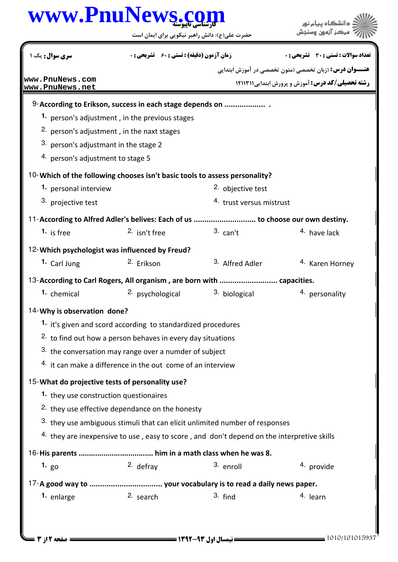## كارشناسي ناپيوسته **[www.PnuNews.com](http://www.PnuNews.com)**

حضرت علي(ع): دانش راهبر نيكويي براي ايمان است

| سری سوال : یک ۱                                                                            |                                                              | <b>زمان آزمون (دقیقه) : تستی : 60 ٪ تشریحی : 0</b> |                                     | <b>تعداد سوالات : تستي : 30 ٪ تشريحي : 0</b>                  |  |  |  |
|--------------------------------------------------------------------------------------------|--------------------------------------------------------------|----------------------------------------------------|-------------------------------------|---------------------------------------------------------------|--|--|--|
|                                                                                            |                                                              |                                                    |                                     | <b>عنـــوان درس:</b> (زبان تخصصی (متون تخصصی در آموزش ابتدایی |  |  |  |
| www.PnuNews.com<br>www.PnuNews.net                                                         |                                                              |                                                    |                                     | رشته تحصیلی/کد درس: آموزش و پرورش ابتدایی ۱۲۱۱۳۱۱             |  |  |  |
| 9-According to Erikson, success in each stage depends on                                   |                                                              |                                                    |                                     |                                                               |  |  |  |
| 1. person's adjustment, in the previous stages                                             |                                                              |                                                    |                                     |                                                               |  |  |  |
| <sup>2.</sup> person's adjustment, in the naxt stages                                      |                                                              |                                                    |                                     |                                                               |  |  |  |
| 3. person's adjustmant in the stage 2                                                      |                                                              |                                                    |                                     |                                                               |  |  |  |
| 4. person's adjustment to stage 5                                                          |                                                              |                                                    |                                     |                                                               |  |  |  |
| 10-Which of the following chooses isn't basic tools to assess personality?                 |                                                              |                                                    |                                     |                                                               |  |  |  |
| 1. personal interview                                                                      |                                                              |                                                    | 2. objective test                   |                                                               |  |  |  |
| 3. projective test                                                                         |                                                              |                                                    | <sup>4.</sup> trust versus mistrust |                                                               |  |  |  |
| 11-According to Alfred Adler's belives: Each of us  to choose our own destiny.             |                                                              |                                                    |                                     |                                                               |  |  |  |
| <sup>1</sup> is free                                                                       | 2. isn't free                                                |                                                    | $3.$ can't                          | 4. have lack                                                  |  |  |  |
| 12-Which psychologist was influenced by Freud?                                             |                                                              |                                                    |                                     |                                                               |  |  |  |
| 1. Carl Jung                                                                               | <sup>2.</sup> Erikson                                        |                                                    | 3. Alfred Adler                     | <sup>4.</sup> Karen Horney                                    |  |  |  |
| 13-According to Carl Rogers, All organism, are born with  capacities.                      |                                                              |                                                    |                                     |                                                               |  |  |  |
| <sup>1.</sup> chemical                                                                     | <sup>2.</sup> psychological                                  |                                                    | <sup>3.</sup> biological            | 4. personality                                                |  |  |  |
| 14-Why is observation done?                                                                |                                                              |                                                    |                                     |                                                               |  |  |  |
|                                                                                            | 1. it's given and scord according to standardized procedures |                                                    |                                     |                                                               |  |  |  |
| <sup>2.</sup> to find out how a person behaves in every day situations                     |                                                              |                                                    |                                     |                                                               |  |  |  |
| <sup>3.</sup> the conversation may range over a numder of subject                          |                                                              |                                                    |                                     |                                                               |  |  |  |
| 4. it can make a difference in the out come of an interview                                |                                                              |                                                    |                                     |                                                               |  |  |  |
| 15-What do projective tests of personality use?                                            |                                                              |                                                    |                                     |                                                               |  |  |  |
| 1. they use construction questionaires                                                     |                                                              |                                                    |                                     |                                                               |  |  |  |
| <sup>2.</sup> they use effective dependance on the honesty                                 |                                                              |                                                    |                                     |                                                               |  |  |  |
| 3. they use ambiguous stimuli that can elicit unlimited number of responses                |                                                              |                                                    |                                     |                                                               |  |  |  |
| 4. they are inexpensive to use, easy to score, and don't depend on the interpretive skills |                                                              |                                                    |                                     |                                                               |  |  |  |
|                                                                                            |                                                              |                                                    |                                     |                                                               |  |  |  |
| 1. $_{g0}$                                                                                 | 2. defray                                                    |                                                    | 3. enroll                           | 4. provide                                                    |  |  |  |
|                                                                                            |                                                              |                                                    |                                     |                                                               |  |  |  |
| 1. enlarge                                                                                 | 2. search                                                    |                                                    | $3.$ find                           | <sup>4.</sup> learn                                           |  |  |  |
|                                                                                            |                                                              |                                                    |                                     |                                                               |  |  |  |

ے)<br>ایکار دانشگاہ پیام نو<br>ایکار اسکر آزمون وسنجش